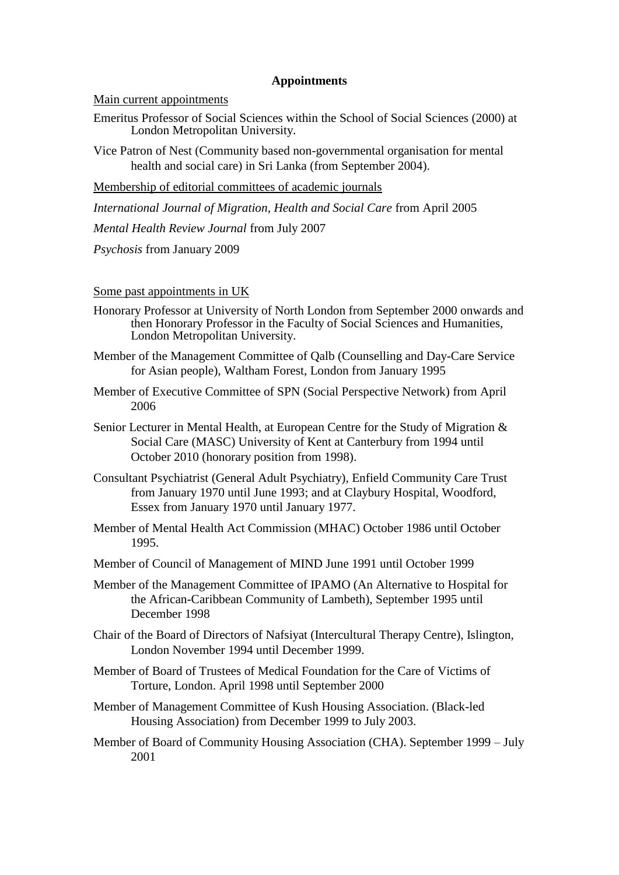## **Appointments**

Main current appointments

Emeritus Professor of Social Sciences within the School of Social Sciences (2000) at London Metropolitan University.

Vice Patron of Nest (Community based non-governmental organisation for mental health and social care) in Sri Lanka (from September 2004).

Membership of editorial committees of academic journals

*International Journal of Migration, Health and Social Care* from April 2005

*Mental Health Review Journal* from July 2007

*Psychosis* from January 2009

Some past appointments in UK

- Honorary Professor at University of North London from September 2000 onwards and then Honorary Professor in the Faculty of Social Sciences and Humanities, London Metropolitan University.
- Member of the Management Committee of Qalb (Counselling and Day-Care Service for Asian people), Waltham Forest, London from January 1995
- Member of Executive Committee of SPN (Social Perspective Network) from April 2006
- Senior Lecturer in Mental Health, at European Centre for the Study of Migration & Social Care (MASC) University of Kent at Canterbury from 1994 until October 2010 (honorary position from 1998).
- Consultant Psychiatrist (General Adult Psychiatry), Enfield Community Care Trust from January 1970 until June 1993; and at Claybury Hospital, Woodford, Essex from January 1970 until January 1977.
- Member of Mental Health Act Commission (MHAC) October 1986 until October 1995.
- Member of Council of Management of MIND June 1991 until October 1999
- Member of the Management Committee of IPAMO (An Alternative to Hospital for the African-Caribbean Community of Lambeth), September 1995 until December 1998
- Chair of the Board of Directors of Nafsiyat (Intercultural Therapy Centre), Islington, London November 1994 until December 1999.
- Member of Board of Trustees of Medical Foundation for the Care of Victims of Torture, London. April 1998 until September 2000
- Member of Management Committee of Kush Housing Association. (Black-led Housing Association) from December 1999 to July 2003.
- Member of Board of Community Housing Association (CHA). September 1999 July 2001